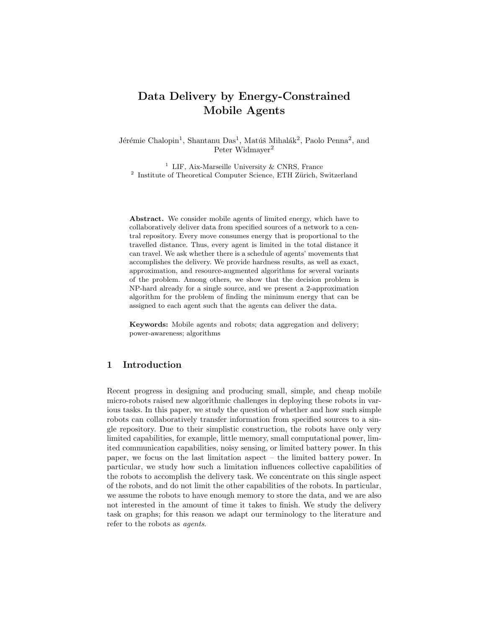# Data Delivery by Energy-Constrained Mobile Agents

Jérémie Chalopin<sup>1</sup>, Shantanu Das<sup>1</sup>, Matúš Mihalák<sup>2</sup>, Paolo Penna<sup>2</sup>, and Peter Widmayer<sup>2</sup>

<sup>1</sup> LIF, Aix-Marseille University & CNRS, France <sup>2</sup> Institute of Theoretical Computer Science, ETH Zürich, Switzerland

Abstract. We consider mobile agents of limited energy, which have to collaboratively deliver data from specified sources of a network to a central repository. Every move consumes energy that is proportional to the travelled distance. Thus, every agent is limited in the total distance it can travel. We ask whether there is a schedule of agents' movements that accomplishes the delivery. We provide hardness results, as well as exact, approximation, and resource-augmented algorithms for several variants of the problem. Among others, we show that the decision problem is NP-hard already for a single source, and we present a 2-approximation algorithm for the problem of finding the minimum energy that can be assigned to each agent such that the agents can deliver the data.

Keywords: Mobile agents and robots; data aggregation and delivery; power-awareness; algorithms

# 1 Introduction

Recent progress in designing and producing small, simple, and cheap mobile micro-robots raised new algorithmic challenges in deploying these robots in various tasks. In this paper, we study the question of whether and how such simple robots can collaboratively transfer information from specified sources to a single repository. Due to their simplistic construction, the robots have only very limited capabilities, for example, little memory, small computational power, limited communication capabilities, noisy sensing, or limited battery power. In this paper, we focus on the last limitation aspect – the limited battery power. In particular, we study how such a limitation influences collective capabilities of the robots to accomplish the delivery task. We concentrate on this single aspect of the robots, and do not limit the other capabilities of the robots. In particular, we assume the robots to have enough memory to store the data, and we are also not interested in the amount of time it takes to finish. We study the delivery task on graphs; for this reason we adapt our terminology to the literature and refer to the robots as agents.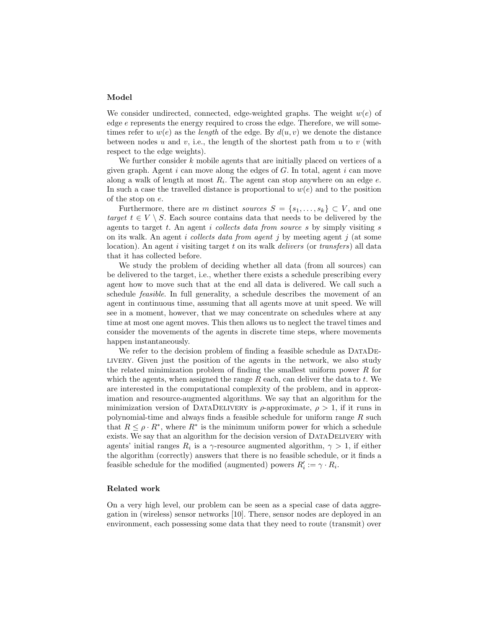#### Model

We consider undirected, connected, edge-weighted graphs. The weight  $w(e)$  of edge e represents the energy required to cross the edge. Therefore, we will sometimes refer to  $w(e)$  as the *length* of the edge. By  $d(u, v)$  we denote the distance between nodes u and v, i.e., the length of the shortest path from u to v (with respect to the edge weights).

We further consider  $k$  mobile agents that are initially placed on vertices of a given graph. Agent  $i$  can move along the edges of  $G$ . In total, agent  $i$  can move along a walk of length at most  $R_i$ . The agent can stop anywhere on an edge  $e$ . In such a case the travelled distance is proportional to  $w(e)$  and to the position of the stop on e.

Furthermore, there are m distinct sources  $S = \{s_1, \ldots, s_k\} \subset V$ , and one target  $t \in V \setminus S$ . Each source contains data that needs to be delivered by the agents to target  $t$ . An agent  $i$  collects data from source  $s$  by simply visiting  $s$ on its walk. An agent i collects data from agent j by meeting agent j (at some location). An agent i visiting target t on its walk delivers (or transfers) all data that it has collected before.

We study the problem of deciding whether all data (from all sources) can be delivered to the target, i.e., whether there exists a schedule prescribing every agent how to move such that at the end all data is delivered. We call such a schedule feasible. In full generality, a schedule describes the movement of an agent in continuous time, assuming that all agents move at unit speed. We will see in a moment, however, that we may concentrate on schedules where at any time at most one agent moves. This then allows us to neglect the travel times and consider the movements of the agents in discrete time steps, where movements happen instantaneously.

We refer to the decision problem of finding a feasible schedule as DATADElivery. Given just the position of the agents in the network, we also study the related minimization problem of finding the smallest uniform power R for which the agents, when assigned the range  $R$  each, can deliver the data to  $t$ . We are interested in the computational complexity of the problem, and in approximation and resource-augmented algorithms. We say that an algorithm for the minimization version of DATADELIVERY is  $\rho$ -approximate,  $\rho > 1$ , if it runs in polynomial-time and always finds a feasible schedule for uniform range  $R$  such that  $R \leq \rho \cdot R^*$ , where  $R^*$  is the minimum uniform power for which a schedule exists. We say that an algorithm for the decision version of DataDelivery with agents' initial ranges  $R_i$  is a  $\gamma$ -resource augmented algorithm,  $\gamma > 1$ , if either the algorithm (correctly) answers that there is no feasible schedule, or it finds a feasible schedule for the modified (augmented) powers  $R'_i := \gamma \cdot R_i$ .

#### Related work

On a very high level, our problem can be seen as a special case of data aggregation in (wireless) sensor networks [10]. There, sensor nodes are deployed in an environment, each possessing some data that they need to route (transmit) over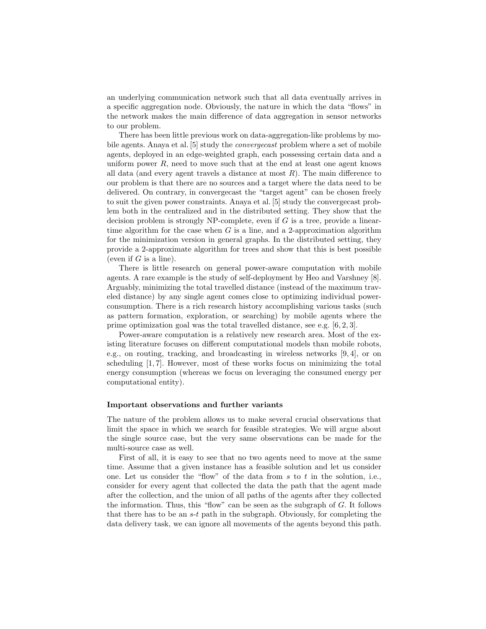an underlying communication network such that all data eventually arrives in a specific aggregation node. Obviously, the nature in which the data "flows" in the network makes the main difference of data aggregation in sensor networks to our problem.

There has been little previous work on data-aggregation-like problems by mobile agents. Anaya et al. [5] study the convergecast problem where a set of mobile agents, deployed in an edge-weighted graph, each possessing certain data and a uniform power  $R$ , need to move such that at the end at least one agent knows all data (and every agent travels a distance at most  $R$ ). The main difference to our problem is that there are no sources and a target where the data need to be delivered. On contrary, in convergecast the "target agent" can be chosen freely to suit the given power constraints. Anaya et al. [5] study the convergecast problem both in the centralized and in the distributed setting. They show that the decision problem is strongly NP-complete, even if  $G$  is a tree, provide a lineartime algorithm for the case when  $G$  is a line, and a 2-approximation algorithm for the minimization version in general graphs. In the distributed setting, they provide a 2-approximate algorithm for trees and show that this is best possible (even if  $G$  is a line).

There is little research on general power-aware computation with mobile agents. A rare example is the study of self-deployment by Heo and Varshney [8]. Arguably, minimizing the total travelled distance (instead of the maximum traveled distance) by any single agent comes close to optimizing individual powerconsumption. There is a rich research history accomplishing various tasks (such as pattern formation, exploration, or searching) by mobile agents where the prime optimization goal was the total travelled distance, see e.g. [6, 2, 3].

Power-aware computation is a relatively new research area. Most of the existing literature focuses on different computational models than mobile robots, e.g., on routing, tracking, and broadcasting in wireless networks [9, 4], or on scheduling [1, 7]. However, most of these works focus on minimizing the total energy consumption (whereas we focus on leveraging the consumed energy per computational entity).

#### Important observations and further variants

The nature of the problem allows us to make several crucial observations that limit the space in which we search for feasible strategies. We will argue about the single source case, but the very same observations can be made for the multi-source case as well.

First of all, it is easy to see that no two agents need to move at the same time. Assume that a given instance has a feasible solution and let us consider one. Let us consider the "flow" of the data from  $s$  to  $t$  in the solution, i.e., consider for every agent that collected the data the path that the agent made after the collection, and the union of all paths of the agents after they collected the information. Thus, this "flow" can be seen as the subgraph of  $G$ . It follows that there has to be an s-t path in the subgraph. Obviously, for completing the data delivery task, we can ignore all movements of the agents beyond this path.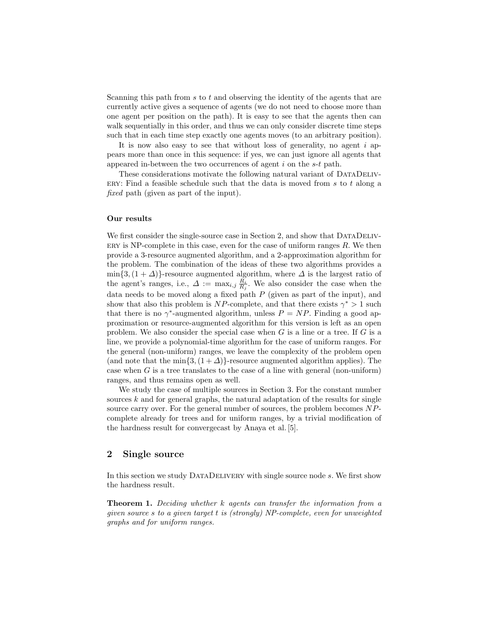Scanning this path from s to t and observing the identity of the agents that are currently active gives a sequence of agents (we do not need to choose more than one agent per position on the path). It is easy to see that the agents then can walk sequentially in this order, and thus we can only consider discrete time steps such that in each time step exactly one agents moves (to an arbitrary position).

It is now also easy to see that without loss of generality, no agent  $i$  appears more than once in this sequence: if yes, we can just ignore all agents that appeared in-between the two occurrences of agent i on the s-t path.

These considerations motivate the following natural variant of DataDeliv-ERY: Find a feasible schedule such that the data is moved from  $s$  to  $t$  along a fixed path (given as part of the input).

#### Our results

We first consider the single-source case in Section 2, and show that DATADELIV-ERY is  $NP$ -complete in this case, even for the case of uniform ranges  $R$ . We then provide a 3-resource augmented algorithm, and a 2-approximation algorithm for the problem. The combination of the ideas of these two algorithms provides a min $\{3,(1+\Delta)\}$ -resource augmented algorithm, where  $\Delta$  is the largest ratio of the agent's ranges, i.e.,  $\Delta := \max_{i,j} \frac{R_i}{R_j}$ . We also consider the case when the data needs to be moved along a fixed path  $P$  (given as part of the input), and show that also this problem is NP-complete, and that there exists  $\gamma^* > 1$  such that there is no  $\gamma^*$ -augmented algorithm, unless  $P = NP$ . Finding a good approximation or resource-augmented algorithm for this version is left as an open problem. We also consider the special case when  $G$  is a line or a tree. If  $G$  is a line, we provide a polynomial-time algorithm for the case of uniform ranges. For the general (non-uniform) ranges, we leave the complexity of the problem open (and note that the min $\{3,(1+\Delta)\}$ -resource augmented algorithm applies). The case when  $G$  is a tree translates to the case of a line with general (non-uniform) ranges, and thus remains open as well.

We study the case of multiple sources in Section 3. For the constant number sources  $k$  and for general graphs, the natural adaptation of the results for single source carry over. For the general number of sources, the problem becomes NPcomplete already for trees and for uniform ranges, by a trivial modification of the hardness result for convergecast by Anaya et al. [5].

# 2 Single source

In this section we study DataDelivery with single source node s. We first show the hardness result.

Theorem 1. Deciding whether k agents can transfer the information from a given source s to a given target t is (strongly) NP-complete, even for unweighted graphs and for uniform ranges.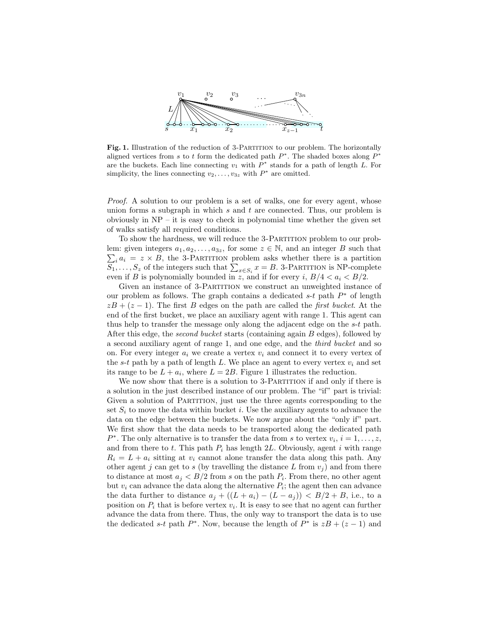

Fig. 1. Illustration of the reduction of 3-PARTITION to our problem. The horizontally aligned vertices from s to t form the dedicated path  $P^*$ . The shaded boxes along  $P^*$ are the buckets. Each line connecting  $v_1$  with  $P^*$  stands for a path of length L. For simplicity, the lines connecting  $v_2, \ldots, v_{3z}$  with  $P^*$  are omitted.

Proof. A solution to our problem is a set of walks, one for every agent, whose union forms a subgraph in which  $s$  and  $t$  are connected. Thus, our problem is obviously in  $NP - it$  is easy to check in polynomial time whether the given set of walks satisfy all required conditions.

To show the hardness, we will reduce the 3-Partition problem to our problem: given integers  $a_1, a_2, \ldots, a_{3z}$ , for some  $z \in \mathbb{N}$ , and an integer B such that  $\sum_i a_i = z \times B$ , the 3-PARTITION problem asks whether there is a partition  $S_1, \ldots, S_z$  of the integers such that  $\sum_{x \in S_i} x = B$ . 3-PARTITION is NP-complete even if B is polynomially bounded in z, and if for every i,  $B/4 < a_i < B/2$ .

Given an instance of 3-PARTITION we construct an unweighted instance of our problem as follows. The graph contains a dedicated  $s-t$  path  $P^*$  of length  $zB + (z - 1)$ . The first B edges on the path are called the first bucket. At the end of the first bucket, we place an auxiliary agent with range 1. This agent can thus help to transfer the message only along the adjacent edge on the s-t path. After this edge, the second bucket starts (containing again B edges), followed by a second auxiliary agent of range 1, and one edge, and the third bucket and so on. For every integer  $a_i$  we create a vertex  $v_i$  and connect it to every vertex of the s-t path by a path of length L. We place an agent to every vertex  $v_i$  and set its range to be  $L + a_i$ , where  $L = 2B$ . Figure 1 illustrates the reduction.

We now show that there is a solution to 3-PARTITION if and only if there is a solution in the just described instance of our problem. The "if" part is trivial: Given a solution of PARTITION, just use the three agents corresponding to the set  $S_i$  to move the data within bucket i. Use the auxiliary agents to advance the data on the edge between the buckets. We now argue about the "only if" part. We first show that the data needs to be transported along the dedicated path  $P^*$ . The only alternative is to transfer the data from s to vertex  $v_i$ ,  $i = 1, \ldots, z$ , and from there to t. This path  $P_i$  has length 2L. Obviously, agent i with range  $R_i = L + a_i$  sitting at  $v_i$  cannot alone transfer the data along this path. Any other agent j can get to s (by travelling the distance L from  $v_j$ ) and from there to distance at most  $a_j < B/2$  from s on the path  $P_i$ . From there, no other agent but  $v_i$  can advance the data along the alternative  $P_i$ ; the agent then can advance the data further to distance  $a_i + ((L + a_i) - (L - a_i)) < B/2 + B$ , i.e., to a position on  $P_i$  that is before vertex  $v_i$ . It is easy to see that no agent can further advance the data from there. Thus, the only way to transport the data is to use the dedicated s-t path  $P^*$ . Now, because the length of  $P^*$  is  $zB + (z - 1)$  and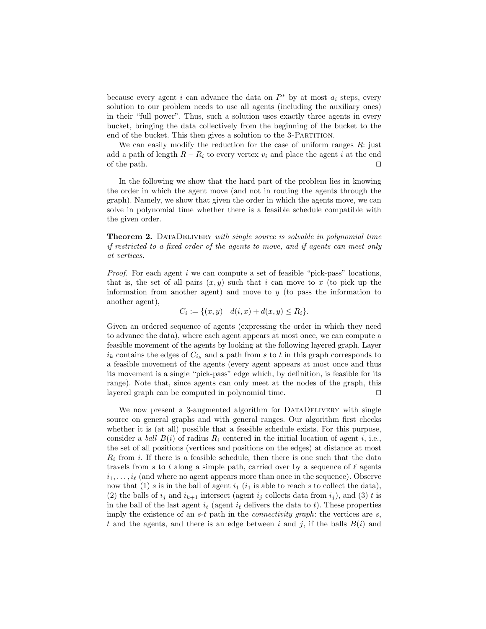because every agent i can advance the data on  $P^*$  by at most  $a_i$  steps, every solution to our problem needs to use all agents (including the auxiliary ones) in their "full power". Thus, such a solution uses exactly three agents in every bucket, bringing the data collectively from the beginning of the bucket to the end of the bucket. This then gives a solution to the 3-PARTITION.

We can easily modify the reduction for the case of uniform ranges  $R$ : just add a path of length  $R - R_i$  to every vertex  $v_i$  and place the agent i at the end of the path. of the path.  $\Box$ 

In the following we show that the hard part of the problem lies in knowing the order in which the agent move (and not in routing the agents through the graph). Namely, we show that given the order in which the agents move, we can solve in polynomial time whether there is a feasible schedule compatible with the given order.

**Theorem 2.** DATADELIVERY with single source is solvable in polynomial time if restricted to a fixed order of the agents to move, and if agents can meet only at vertices.

*Proof.* For each agent  $i$  we can compute a set of feasible "pick-pass" locations, that is, the set of all pairs  $(x, y)$  such that i can move to x (to pick up the information from another agent) and move to  $y$  (to pass the information to another agent),

$$
C_i := \{(x, y) | d(i, x) + d(x, y) \le R_i\}.
$$

Given an ordered sequence of agents (expressing the order in which they need to advance the data), where each agent appears at most once, we can compute a feasible movement of the agents by looking at the following layered graph. Layer  $i_k$  contains the edges of  $C_{i_k}$  and a path from s to t in this graph corresponds to a feasible movement of the agents (every agent appears at most once and thus its movement is a single "pick-pass" edge which, by definition, is feasible for its range). Note that, since agents can only meet at the nodes of the graph, this layered graph can be computed in polynomial time.  $\Box$ 

We now present a 3-augmented algorithm for DATADELIVERY with single source on general graphs and with general ranges. Our algorithm first checks whether it is (at all) possible that a feasible schedule exists. For this purpose, consider a *ball*  $B(i)$  of radius  $R_i$  centered in the initial location of agent i, i.e., the set of all positions (vertices and positions on the edges) at distance at most  $R_i$  from i. If there is a feasible schedule, then there is one such that the data travels from s to t along a simple path, carried over by a sequence of  $\ell$  agents  $i_1, \ldots, i_\ell$  (and where no agent appears more than once in the sequence). Observe now that (1) s is in the ball of agent  $i_1$  ( $i_1$  is able to reach s to collect the data), (2) the balls of  $i_j$  and  $i_{k+1}$  intersect (agent  $i_j$  collects data from  $i_j$ ), and (3) t is in the ball of the last agent  $i_\ell$  (agent  $i_\ell$  delivers the data to t). These properties imply the existence of an  $s$ -t path in the *connectivity graph*: the vertices are  $s$ , t and the agents, and there is an edge between i and j, if the balls  $B(i)$  and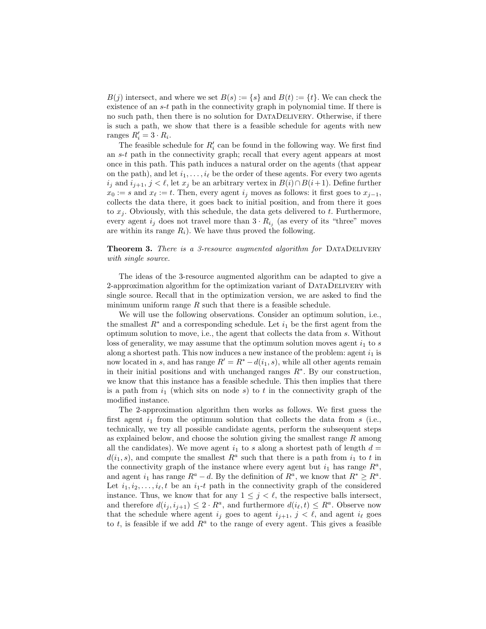$B(j)$  intersect, and where we set  $B(s) := \{s\}$  and  $B(t) := \{t\}$ . We can check the existence of an s-t path in the connectivity graph in polynomial time. If there is no such path, then there is no solution for DataDelivery. Otherwise, if there is such a path, we show that there is a feasible schedule for agents with new ranges  $R'_i = 3 \cdot R_i$ .

The feasible schedule for  $R_i'$  can be found in the following way. We first find an s-t path in the connectivity graph; recall that every agent appears at most once in this path. This path induces a natural order on the agents (that appear on the path), and let  $i_1, \ldots, i_\ell$  be the order of these agents. For every two agents  $i_j$  and  $i_{j+1}, j < \ell$ , let  $x_j$  be an arbitrary vertex in  $B(i) \cap B(i+1)$ . Define further  $x_0 := s$  and  $x_\ell := t$ . Then, every agent  $i_j$  moves as follows: it first goes to  $x_{j-1}$ , collects the data there, it goes back to initial position, and from there it goes to  $x_j$ . Obviously, with this schedule, the data gets delivered to t. Furthermore, every agent  $i_j$  does not travel more than  $3 \cdot R_{i_j}$  (as every of its "three" moves are within its range  $R_i$ ). We have thus proved the following.

### **Theorem 3.** There is a 3-resource augmented algorithm for DATADELIVERY with single source.

The ideas of the 3-resource augmented algorithm can be adapted to give a 2-approximation algorithm for the optimization variant of DataDelivery with single source. Recall that in the optimization version, we are asked to find the minimum uniform range  $R$  such that there is a feasible schedule.

We will use the following observations. Consider an optimum solution, i.e., the smallest  $R^*$  and a corresponding schedule. Let  $i_1$  be the first agent from the optimum solution to move, i.e., the agent that collects the data from s. Without loss of generality, we may assume that the optimum solution moves agent  $i_1$  to s along a shortest path. This now induces a new instance of the problem: agent  $i_1$  is now located in s, and has range  $R' = R^* - d(i_1, s)$ , while all other agents remain in their initial positions and with unchanged ranges  $R^*$ . By our construction, we know that this instance has a feasible schedule. This then implies that there is a path from  $i_1$  (which sits on node s) to t in the connectivity graph of the modified instance.

The 2-approximation algorithm then works as follows. We first guess the first agent  $i_1$  from the optimum solution that collects the data from s (i.e., technically, we try all possible candidate agents, perform the subsequent steps as explained below, and choose the solution giving the smallest range  $R$  among all the candidates). We move agent  $i_1$  to s along a shortest path of length  $d =$  $d(i_1, s)$ , and compute the smallest  $R^a$  such that there is a path from  $i_1$  to t in the connectivity graph of the instance where every agent but  $i_1$  has range  $R^a$ , and agent  $i_1$  has range  $R^a - d$ . By the definition of  $R^a$ , we know that  $R^* \geq R^a$ . Let  $i_1, i_2, \ldots, i_\ell, t$  be an  $i_1$ -t path in the connectivity graph of the considered instance. Thus, we know that for any  $1 \leq j \leq \ell$ , the respective balls intersect, and therefore  $d(i_j, i_{j+1}) \leq 2 \cdot R^a$ , and furthermore  $d(i_\ell, t) \leq R^a$ . Observe now that the schedule where agent  $i_j$  goes to agent  $i_{j+1}$ ,  $j < \ell$ , and agent  $i_{\ell}$  goes to t, is feasible if we add  $R^a$  to the range of every agent. This gives a feasible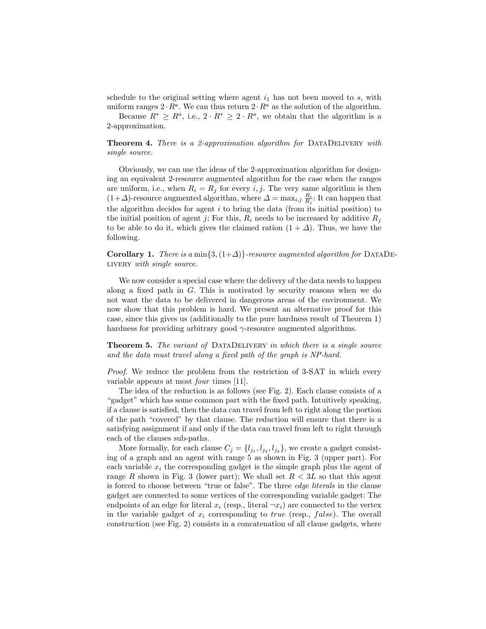schedule to the original setting where agent  $i_1$  has not been moved to s, with uniform ranges  $2 \cdot R^a$ . We can thus return  $2 \cdot R^a$  as the solution of the algorithm.

Because  $R^* \geq R^a$ , i.e.,  $2 \cdot R^* \geq 2 \cdot R^a$ , we obtain that the algorithm is a 2-approximation.

Theorem 4. There is a 2-approximation algorithm for DATADELIVERY with single source.

Obviously, we can use the ideas of the 2-approximation algorithm for designing an equivalent 2-resource augmented algorithm for the case when the ranges are uniform, i.e., when  $R_i = R_j$  for every i, j. The very same algorithm is then  $(1+\Delta)$ -resource augmented algorithm, where  $\Delta = \max_{i,j} \frac{R_i}{R_j}$ : It can happen that the algorithm decides for agent  $i$  to bring the data (from its initial position) to the initial position of agent j; For this,  $R_i$  needs to be increased by additive  $R_j$ to be able to do it, which gives the claimed ration  $(1 + \Delta)$ . Thus, we have the following.

Corollary 1. There is a min $\{3,(1+\Delta)\}$ -resource augmented algorithm for DATADE-LIVERY with single source.

We now consider a special case where the delivery of the data needs to happen along a fixed path in G. This is motivated by security reasons when we do not want the data to be delivered in dangerous areas of the environment. We now show that this problem is hard. We present an alternative proof for this case, since this gives us (additionally to the pure hardness result of Theorem 1) hardness for providing arbitrary good  $\gamma$ -resource augmented algorithms.

Theorem 5. The variant of DATADELIVERY in which there is a single source and the data must travel along a fixed path of the graph is NP-hard.

Proof. We reduce the problem from the restriction of 3-SAT in which every variable appears at most four times [11].

The idea of the reduction is as follows (see Fig. 2). Each clause consists of a "gadget" which has some common part with the fixed path. Intuitively speaking, if a clause is satisfied, then the data can travel from left to right along the portion of the path "covered" by that clause. The reduction will ensure that there is a satisfying assignment if and only if the data can travel from left to right through each of the clauses sub-paths.

More formally, for each clause  $C_j = \{l_{j_1}, l_{j_2}, l_{j_3}\}\,$ , we create a gadget consisting of a graph and an agent with range 5 as shown in Fig. 3 (upper part). For each variable  $x_i$  the corresponding gadget is the simple graph plus the agent of range R shown in Fig. 3 (lower part); We shall set  $R < 3L$  so that this agent is forced to choose between "true or false". The three edge literals in the clause gadget are connected to some vertices of the corresponding variable gadget: The endpoints of an edge for literal  $x_i$  (resp., literal  $\neg x_i$ ) are connected to the vertex in the variable gadget of  $x_i$  corresponding to *true* (resp., *false*). The overall construction (see Fig. 2) consists in a concatenation of all clause gadgets, where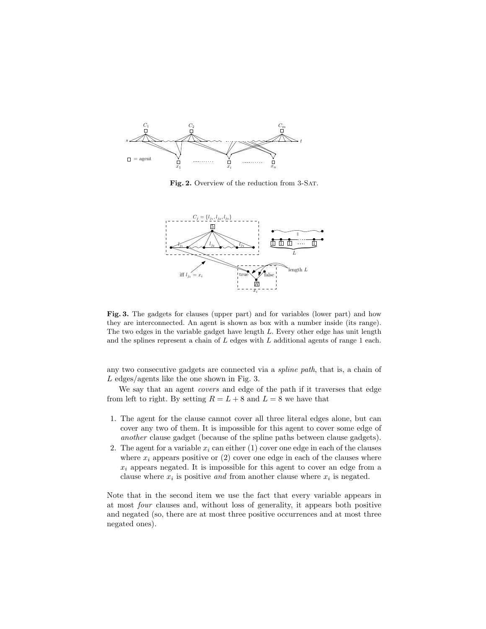

Fig. 2. Overview of the reduction from 3-SAT.



Fig. 3. The gadgets for clauses (upper part) and for variables (lower part) and how they are interconnected. An agent is shown as box with a number inside (its range). The two edges in the variable gadget have length L. Every other edge has unit length and the splines represent a chain of  $L$  edges with  $L$  additional agents of range 1 each.

any two consecutive gadgets are connected via a spline path, that is, a chain of L edges/agents like the one shown in Fig. 3.

We say that an agent *covers* and edge of the path if it traverses that edge from left to right. By setting  $R = L + 8$  and  $L = 8$  we have that

- 1. The agent for the clause cannot cover all three literal edges alone, but can cover any two of them. It is impossible for this agent to cover some edge of another clause gadget (because of the spline paths between clause gadgets).
- 2. The agent for a variable  $x_i$  can either (1) cover one edge in each of the clauses where  $x_i$  appears positive or (2) cover one edge in each of the clauses where  $x_i$  appears negated. It is impossible for this agent to cover an edge from a clause where  $x_i$  is positive and from another clause where  $x_i$  is negated.

Note that in the second item we use the fact that every variable appears in at most four clauses and, without loss of generality, it appears both positive and negated (so, there are at most three positive occurrences and at most three negated ones).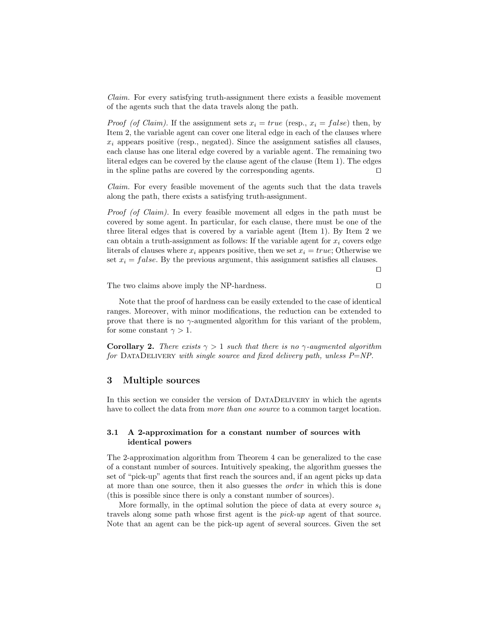Claim. For every satisfying truth-assignment there exists a feasible movement of the agents such that the data travels along the path.

*Proof (of Claim)*. If the assignment sets  $x_i = true$  (resp.,  $x_i = false$ ) then, by Item 2, the variable agent can cover one literal edge in each of the clauses where  $x_i$  appears positive (resp., negated). Since the assignment satisfies all clauses, each clause has one literal edge covered by a variable agent. The remaining two literal edges can be covered by the clause agent of the clause (Item 1). The edges in the spline paths are covered by the corresponding agents.  $\square$ 

Claim. For every feasible movement of the agents such that the data travels along the path, there exists a satisfying truth-assignment.

Proof (of Claim). In every feasible movement all edges in the path must be covered by some agent. In particular, for each clause, there must be one of the three literal edges that is covered by a variable agent (Item 1). By Item 2 we can obtain a truth-assignment as follows: If the variable agent for  $x_i$  covers edge literals of clauses where  $x_i$  appears positive, then we set  $x_i = true$ ; Otherwise we set  $x_i = false$ . By the previous argument, this assignment satisfies all clauses.  $\Box$ 

The two claims above imply the NP-hardness. 
$$
\Box
$$

Note that the proof of hardness can be easily extended to the case of identical ranges. Moreover, with minor modifications, the reduction can be extended to prove that there is no  $\gamma$ -augmented algorithm for this variant of the problem, for some constant  $\gamma > 1$ .

**Corollary 2.** There exists  $\gamma > 1$  such that there is no  $\gamma$ -augmented algorithm for DATADELIVERY with single source and fixed delivery path, unless  $P=NP$ .

## 3 Multiple sources

In this section we consider the version of DataDelivery in which the agents have to collect the data from *more than one source* to a common target location.

## 3.1 A 2-approximation for a constant number of sources with identical powers

The 2-approximation algorithm from Theorem 4 can be generalized to the case of a constant number of sources. Intuitively speaking, the algorithm guesses the set of "pick-up" agents that first reach the sources and, if an agent picks up data at more than one source, then it also guesses the order in which this is done (this is possible since there is only a constant number of sources).

More formally, in the optimal solution the piece of data at every source  $s_i$ travels along some path whose first agent is the pick-up agent of that source. Note that an agent can be the pick-up agent of several sources. Given the set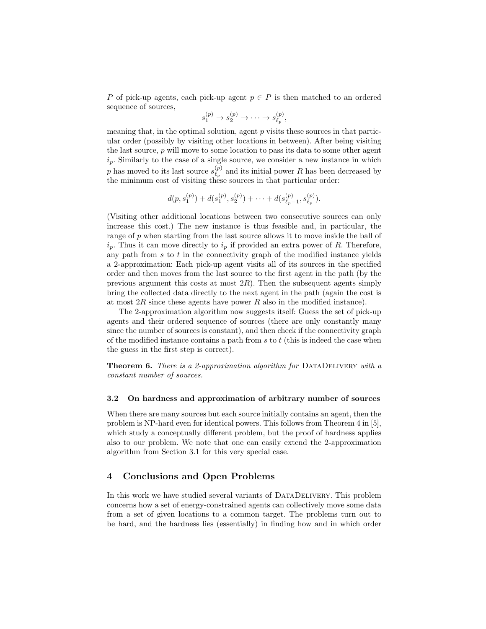P of pick-up agents, each pick-up agent  $p \in P$  is then matched to an ordered sequence of sources,

$$
s_1^{(p)} \to s_2^{(p)} \to \cdots \to s_{\ell_p}^{(p)},
$$

meaning that, in the optimal solution, agent  $p$  visits these sources in that particular order (possibly by visiting other locations in between). After being visiting the last source,  $p$  will move to some location to pass its data to some other agent  $i_p$ . Similarly to the case of a single source, we consider a new instance in which p has moved to its last source  $s_{\ell}^{(p)}$  $\binom{p}{\ell_p}$  and its initial power R has been decreased by the minimum cost of visiting these sources in that particular order:

$$
d(p, s_1^{(p)}) + d(s_1^{(p)}, s_2^{(p)}) + \cdots + d(s_{\ell_p-1}^{(p)}, s_{\ell_p}^{(p)}).
$$

(Visiting other additional locations between two consecutive sources can only increase this cost.) The new instance is thus feasible and, in particular, the range of  $p$  when starting from the last source allows it to move inside the ball of  $i_p$ . Thus it can move directly to  $i_p$  if provided an extra power of R. Therefore, any path from  $s$  to  $t$  in the connectivity graph of the modified instance yields a 2-approximation: Each pick-up agent visits all of its sources in the specified order and then moves from the last source to the first agent in the path (by the previous argument this costs at most  $2R$ ). Then the subsequent agents simply bring the collected data directly to the next agent in the path (again the cost is at most  $2R$  since these agents have power R also in the modified instance).

The 2-approximation algorithm now suggests itself: Guess the set of pick-up agents and their ordered sequence of sources (there are only constantly many since the number of sources is constant), and then check if the connectivity graph of the modified instance contains a path from  $s$  to  $t$  (this is indeed the case when the guess in the first step is correct).

Theorem 6. There is a 2-approximation algorithm for DATADELIVERY with a constant number of sources.

#### 3.2 On hardness and approximation of arbitrary number of sources

When there are many sources but each source initially contains an agent, then the problem is NP-hard even for identical powers. This follows from Theorem 4 in [5], which study a conceptually different problem, but the proof of hardness applies also to our problem. We note that one can easily extend the 2-approximation algorithm from Section 3.1 for this very special case.

# 4 Conclusions and Open Problems

In this work we have studied several variants of DataDelivery. This problem concerns how a set of energy-constrained agents can collectively move some data from a set of given locations to a common target. The problems turn out to be hard, and the hardness lies (essentially) in finding how and in which order